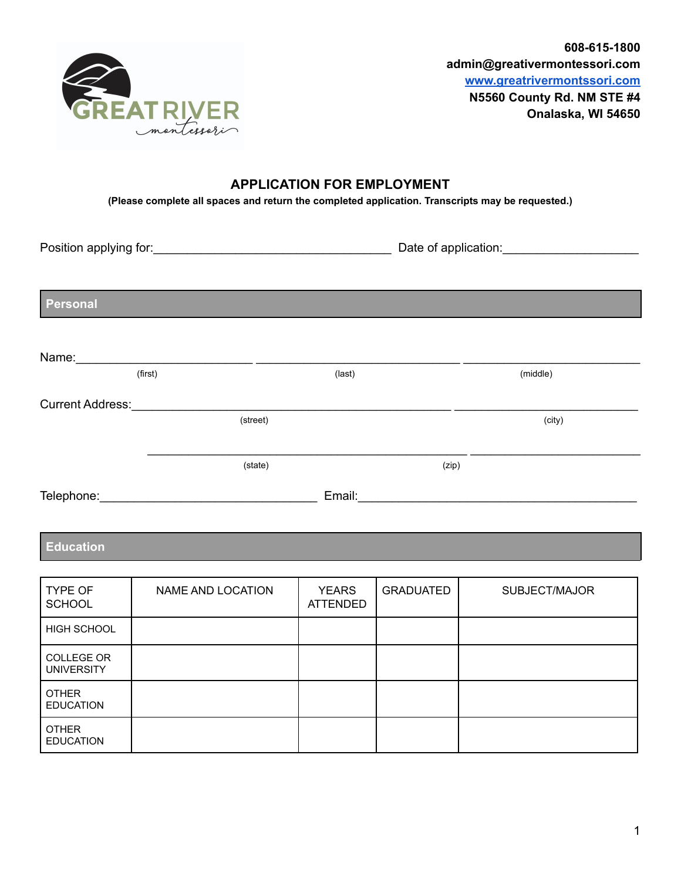

## **APPLICATION FOR EMPLOYMENT**

**(Please complete all spaces and return the completed application. Transcripts may be requested.)**

Position applying for:\_\_\_\_\_\_\_\_\_\_\_\_\_\_\_\_\_\_\_\_\_\_\_\_\_\_\_\_\_\_\_\_\_\_\_ Date of application:\_\_\_\_\_\_\_\_\_\_\_\_\_\_\_\_\_\_\_\_

**Personal**

| Name:                   |          |        |       |          |
|-------------------------|----------|--------|-------|----------|
|                         | (first)  | (last) |       | (middle) |
| <b>Current Address:</b> |          |        |       |          |
|                         | (street) |        |       | (city)   |
|                         |          |        |       |          |
|                         | (state)  |        | (zip) |          |
| Telephone:              |          | Email: |       |          |

## **Education**

| <b>TYPE OF</b><br><b>SCHOOL</b>        | NAME AND LOCATION | <b>YEARS</b><br><b>ATTENDED</b> | <b>GRADUATED</b> | SUBJECT/MAJOR |
|----------------------------------------|-------------------|---------------------------------|------------------|---------------|
| HIGH SCHOOL                            |                   |                                 |                  |               |
| <b>COLLEGE OR</b><br><b>UNIVERSITY</b> |                   |                                 |                  |               |
| <b>OTHER</b><br><b>EDUCATION</b>       |                   |                                 |                  |               |
| <b>OTHER</b><br><b>EDUCATION</b>       |                   |                                 |                  |               |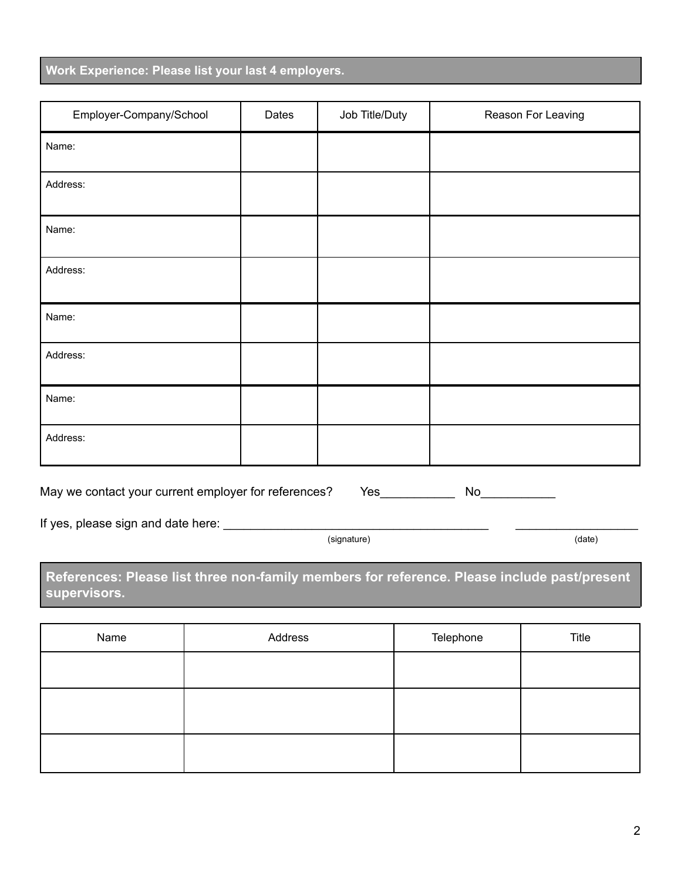| Work Experience: Please list your last 4 employers. |  |  |  |
|-----------------------------------------------------|--|--|--|
|                                                     |  |  |  |

| Employer-Company/School | Dates | Job Title/Duty | Reason For Leaving |
|-------------------------|-------|----------------|--------------------|
| Name:                   |       |                |                    |
| Address:                |       |                |                    |
| Name:                   |       |                |                    |
| Address:                |       |                |                    |
| Name:                   |       |                |                    |
| Address:                |       |                |                    |
| Name:                   |       |                |                    |
| Address:                |       |                |                    |

May we contact your current employer for references? Yes\_\_\_\_\_\_\_\_\_\_\_\_\_\_ No\_\_\_\_\_\_\_\_

If yes, please sign and date here: \_\_\_\_\_\_\_\_\_\_\_\_\_\_\_\_\_\_\_\_\_\_\_\_\_\_\_\_\_\_\_\_\_\_\_\_\_\_\_ \_\_\_\_\_\_\_\_\_\_\_\_\_\_\_\_\_\_

(signature) (date)

**References: Please list three non-family members for reference. Please include past/present supervisors.**

| Name | Address | Telephone | Title |
|------|---------|-----------|-------|
|      |         |           |       |
|      |         |           |       |
|      |         |           |       |